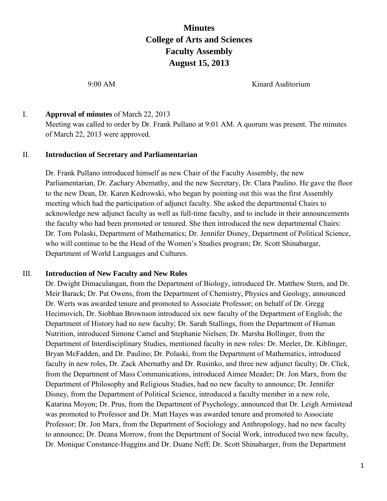# **Minutes College of Arts and Sciences Faculty Assembly August 15, 2013**

9:00 AM Kinard Auditorium

#### I. **Approval of minutes** of March 22, 2013

Meeting was called to order by Dr. Frank Pullano at 9:01 AM. A quorum was present. The minutes of March 22, 2013 were approved.

#### II. **Introduction of Secretary and Parliamentarian**

Dr. Frank Pullano introduced himself as new Chair of the Faculty Assembly, the new Parliamentarian, Dr. Zachary Abernathy, and the new Secretary, Dr. Clara Paulino. He gave the floor to the new Dean, Dr. Karen Kedrowski, who began by pointing out this was the first Assembly meeting which had the participation of adjunct faculty. She asked the departmental Chairs to acknowledge new adjunct faculty as well as full-time faculty, and to include in their announcements the faculty who had been promoted or tenured. She then introduced the new departmental Chairs: Dr. Tom Polaski, Department of Mathematics; Dr. Jennifer Disney, Department of Political Science, who will continue to be the Head of the Women's Studies program; Dr. Scott Shinabargar, Department of World Languages and Cultures.

#### III. **Introduction of New Faculty and New Roles**

Dr. Dwight Dimaculangan, from the Department of Biology, introduced Dr. Matthew Stern, and Dr. Meir Barack; Dr. Pat Owens, from the Department of Chemistry, Physics and Geology, announced Dr. Werts was awarded tenure and promoted to Associate Professor; on behalf of Dr. Gregg Hecimovich, Dr. Siobhan Brownson introduced six new faculty of the Department of English; the Department of History had no new faculty; Dr. Sarah Stallings, from the Department of Human Nutrition, introduced Simone Camel and Stephanie Nielsen; Dr. Marsha Bollinger, from the Department of Interdisciplinary Studies, mentioned faculty in new roles: Dr. Meeler, Dr. Kiblinger, Bryan McFadden, and Dr. Paulino; Dr. Polaski, from the Department of Mathematics, introduced faculty in new roles, Dr. Zack Abernathy and Dr. Rusinko, and three new adjunct faculty; Dr. Click, from the Department of Mass Communications, introduced Aimee Meader; Dr. Jon Marx, from the Department of Philosophy and Religious Studies, had no new faculty to announce; Dr. Jennifer Disney, from the Department of Political Science, introduced a faculty member in a new role, Katarina Moyon; Dr. Prus, from the Department of Psychology, announced that Dr. Leigh Armistead was promoted to Professor and Dr. Matt Hayes was awarded tenure and promoted to Associate Professor; Dr. Jon Marx, from the Department of Sociology and Anthropology, had no new faculty to announce; Dr. Deana Morrow, from the Department of Social Work, introduced two new faculty, Dr. Monique Constance-Huggins and Dr. Duane Neff; Dr. Scott Shinabarger, from the Department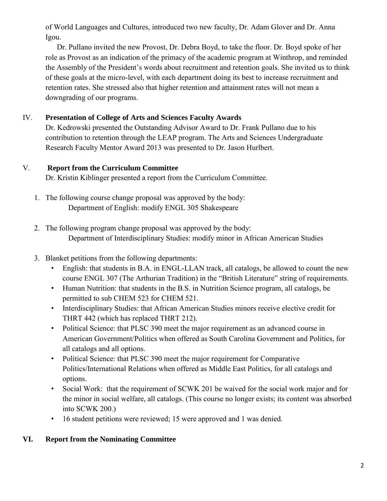of World Languages and Cultures, introduced two new faculty, Dr. Adam Glover and Dr. Anna Igou.

Dr. Pullano invited the new Provost, Dr. Debra Boyd, to take the floor. Dr. Boyd spoke of her role as Provost as an indication of the primacy of the academic program at Winthrop, and reminded the Assembly of the President's words about recruitment and retention goals. She invited us to think of these goals at the micro-level, with each department doing its best to increase recruitment and retention rates. She stressed also that higher retention and attainment rates will not mean a downgrading of our programs.

# IV. **Presentation of College of Arts and Sciences Faculty Awards**

Dr. Kedrowski presented the Outstanding Advisor Award to Dr. Frank Pullano due to his contribution to retention through the LEAP program. The Arts and Sciences Undergraduate Research Faculty Mentor Award 2013 was presented to Dr. Jason Hurlbert.

# V. **Report from the Curriculum Committee**

Dr. Kristin Kiblinger presented a report from the Curriculum Committee.

- 1. The following course change proposal was approved by the body: Department of English: modify ENGL 305 Shakespeare
- 2. The following program change proposal was approved by the body: Department of Interdisciplinary Studies: modify minor in African American Studies
- 3. Blanket petitions from the following departments:
	- English: that students in B.A. in ENGL-LLAN track, all catalogs, be allowed to count the new course ENGL 307 (The Arthurian Tradition) in the "British Literature" string of requirements.
	- Human Nutrition: that students in the B.S. in Nutrition Science program, all catalogs, be permitted to sub CHEM 523 for CHEM 521.
	- Interdisciplinary Studies: that African American Studies minors receive elective credit for THRT 442 (which has replaced THRT 212).
	- Political Science: that PLSC 390 meet the major requirement as an advanced course in American Government/Politics when offered as South Carolina Government and Politics, for all catalogs and all options.
	- Political Science: that PLSC 390 meet the major requirement for Comparative Politics/International Relations when offered as Middle East Politics, for all catalogs and options.
	- Social Work: that the requirement of SCWK 201 be waived for the social work major and for the minor in social welfare, all catalogs. (This course no longer exists; its content was absorbed into SCWK 200.)
	- 16 student petitions were reviewed; 15 were approved and 1 was denied.

# **VI. Report from the Nominating Committee**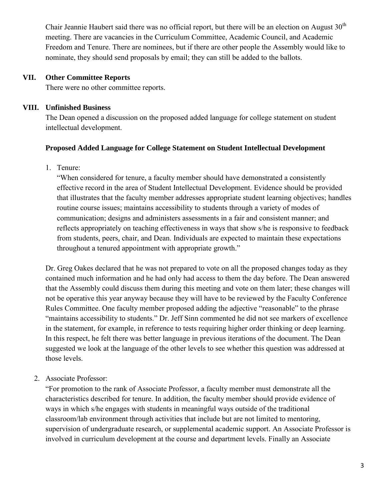Chair Jeannie Haubert said there was no official report, but there will be an election on August  $30<sup>th</sup>$ meeting. There are vacancies in the Curriculum Committee, Academic Council, and Academic Freedom and Tenure. There are nominees, but if there are other people the Assembly would like to nominate, they should send proposals by email; they can still be added to the ballots.

#### **VII. Other Committee Reports**

There were no other committee reports.

#### **VIII. Unfinished Business**

The Dean opened a discussion on the proposed added language for college statement on student intellectual development.

#### **Proposed Added Language for College Statement on Student Intellectual Development**

1. Tenure:

"When considered for tenure, a faculty member should have demonstrated a consistently effective record in the area of Student Intellectual Development. Evidence should be provided that illustrates that the faculty member addresses appropriate student learning objectives; handles routine course issues; maintains accessibility to students through a variety of modes of communication; designs and administers assessments in a fair and consistent manner; and reflects appropriately on teaching effectiveness in ways that show s/he is responsive to feedback from students, peers, chair, and Dean. Individuals are expected to maintain these expectations throughout a tenured appointment with appropriate growth."

Dr. Greg Oakes declared that he was not prepared to vote on all the proposed changes today as they contained much information and he had only had access to them the day before. The Dean answered that the Assembly could discuss them during this meeting and vote on them later; these changes will not be operative this year anyway because they will have to be reviewed by the Faculty Conference Rules Committee. One faculty member proposed adding the adjective "reasonable" to the phrase "maintains accessibility to students." Dr. Jeff Sinn commented he did not see markers of excellence in the statement, for example, in reference to tests requiring higher order thinking or deep learning. In this respect, he felt there was better language in previous iterations of the document. The Dean suggested we look at the language of the other levels to see whether this question was addressed at those levels.

2. Associate Professor:

"For promotion to the rank of Associate Professor, a faculty member must demonstrate all the characteristics described for tenure. In addition, the faculty member should provide evidence of ways in which s/he engages with students in meaningful ways outside of the traditional classroom/lab environment through activities that include but are not limited to mentoring, supervision of undergraduate research, or supplemental academic support. An Associate Professor is involved in curriculum development at the course and department levels. Finally an Associate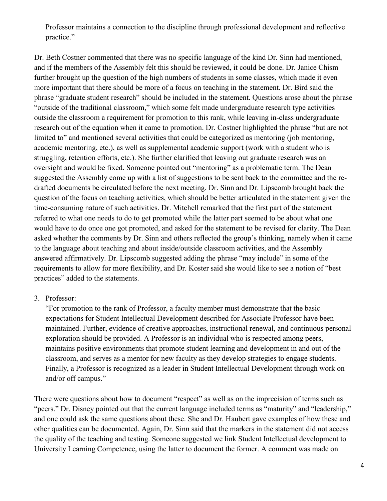Professor maintains a connection to the discipline through professional development and reflective practice."

Dr. Beth Costner commented that there was no specific language of the kind Dr. Sinn had mentioned, and if the members of the Assembly felt this should be reviewed, it could be done. Dr. Janice Chism further brought up the question of the high numbers of students in some classes, which made it even more important that there should be more of a focus on teaching in the statement. Dr. Bird said the phrase "graduate student research" should be included in the statement. Questions arose about the phrase "outside of the traditional classroom," which some felt made undergraduate research type activities outside the classroom a requirement for promotion to this rank, while leaving in-class undergraduate research out of the equation when it came to promotion. Dr. Costner highlighted the phrase "but are not limited to" and mentioned several activities that could be categorized as mentoring (job mentoring, academic mentoring, etc.), as well as supplemental academic support (work with a student who is struggling, retention efforts, etc.). She further clarified that leaving out graduate research was an oversight and would be fixed. Someone pointed out "mentoring" as a problematic term. The Dean suggested the Assembly come up with a list of suggestions to be sent back to the committee and the redrafted documents be circulated before the next meeting. Dr. Sinn and Dr. Lipscomb brought back the question of the focus on teaching activities, which should be better articulated in the statement given the time-consuming nature of such activities. Dr. Mitchell remarked that the first part of the statement referred to what one needs to do to get promoted while the latter part seemed to be about what one would have to do once one got promoted, and asked for the statement to be revised for clarity. The Dean asked whether the comments by Dr. Sinn and others reflected the group's thinking, namely when it came to the language about teaching and about inside/outside classroom activities, and the Assembly answered affirmatively. Dr. Lipscomb suggested adding the phrase "may include" in some of the requirements to allow for more flexibility, and Dr. Koster said she would like to see a notion of "best practices" added to the statements.

#### 3. Professor:

"For promotion to the rank of Professor, a faculty member must demonstrate that the basic expectations for Student Intellectual Development described for Associate Professor have been maintained. Further, evidence of creative approaches, instructional renewal, and continuous personal exploration should be provided. A Professor is an individual who is respected among peers, maintains positive environments that promote student learning and development in and out of the classroom, and serves as a mentor for new faculty as they develop strategies to engage students. Finally, a Professor is recognized as a leader in Student Intellectual Development through work on and/or off campus."

There were questions about how to document "respect" as well as on the imprecision of terms such as "peers." Dr. Disney pointed out that the current language included terms as "maturity" and "leadership," and one could ask the same questions about these. She and Dr. Haubert gave examples of how these and other qualities can be documented. Again, Dr. Sinn said that the markers in the statement did not access the quality of the teaching and testing. Someone suggested we link Student Intellectual development to University Learning Competence, using the latter to document the former. A comment was made on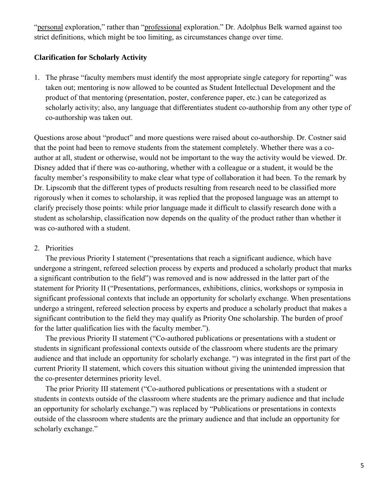"personal exploration," rather than "professional exploration." Dr. Adolphus Belk warned against too strict definitions, which might be too limiting, as circumstances change over time.

#### **Clarification for Scholarly Activity**

1. The phrase "faculty members must identify the most appropriate single category for reporting" was taken out; mentoring is now allowed to be counted as Student Intellectual Development and the product of that mentoring (presentation, poster, conference paper, etc.) can be categorized as scholarly activity; also, any language that differentiates student co-authorship from any other type of co-authorship was taken out.

Questions arose about "product" and more questions were raised about co-authorship. Dr. Costner said that the point had been to remove students from the statement completely. Whether there was a coauthor at all, student or otherwise, would not be important to the way the activity would be viewed. Dr. Disney added that if there was co-authoring, whether with a colleague or a student, it would be the faculty member's responsibility to make clear what type of collaboration it had been. To the remark by Dr. Lipscomb that the different types of products resulting from research need to be classified more rigorously when it comes to scholarship, it was replied that the proposed language was an attempt to clarify precisely those points: while prior language made it difficult to classify research done with a student as scholarship, classification now depends on the quality of the product rather than whether it was co-authored with a student.

#### 2. Priorities

The previous Priority I statement ("presentations that reach a significant audience, which have undergone a stringent, refereed selection process by experts and produced a scholarly product that marks a significant contribution to the field") was removed and is now addressed in the latter part of the statement for Priority II ("Presentations, performances, exhibitions, clinics, workshops or symposia in significant professional contexts that include an opportunity for scholarly exchange. When presentations undergo a stringent, refereed selection process by experts and produce a scholarly product that makes a significant contribution to the field they may qualify as Priority One scholarship. The burden of proof for the latter qualification lies with the faculty member.").

The previous Priority II statement ("Co-authored publications or presentations with a student or students in significant professional contexts outside of the classroom where students are the primary audience and that include an opportunity for scholarly exchange. ") was integrated in the first part of the current Priority II statement, which covers this situation without giving the unintended impression that the co-presenter determines priority level.

The prior Priority III statement ("Co-authored publications or presentations with a student or students in contexts outside of the classroom where students are the primary audience and that include an opportunity for scholarly exchange.") was replaced by "Publications or presentations in contexts outside of the classroom where students are the primary audience and that include an opportunity for scholarly exchange."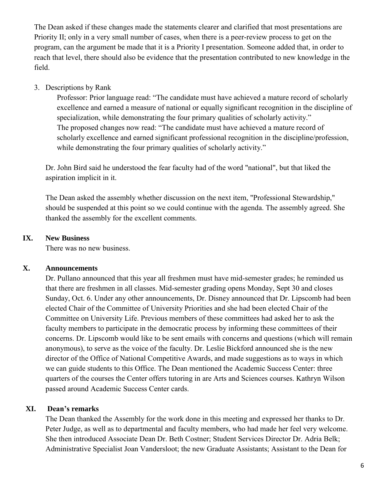The Dean asked if these changes made the statements clearer and clarified that most presentations are Priority II; only in a very small number of cases, when there is a peer-review process to get on the program, can the argument be made that it is a Priority I presentation. Someone added that, in order to reach that level, there should also be evidence that the presentation contributed to new knowledge in the field.

3. Descriptions by Rank

Professor: Prior language read: "The candidate must have achieved a mature record of scholarly excellence and earned a measure of national or equally significant recognition in the discipline of specialization, while demonstrating the four primary qualities of scholarly activity." The proposed changes now read: "The candidate must have achieved a mature record of scholarly excellence and earned significant professional recognition in the discipline/profession, while demonstrating the four primary qualities of scholarly activity."

Dr. John Bird said he understood the fear faculty had of the word "national", but that liked the aspiration implicit in it.

The Dean asked the assembly whether discussion on the next item, "Professional Stewardship," should be suspended at this point so we could continue with the agenda. The assembly agreed. She thanked the assembly for the excellent comments.

#### **IX. New Business**

There was no new business.

#### **X. Announcements**

Dr. Pullano announced that this year all freshmen must have mid-semester grades; he reminded us that there are freshmen in all classes. Mid-semester grading opens Monday, Sept 30 and closes Sunday, Oct. 6. Under any other announcements, Dr. Disney announced that Dr. Lipscomb had been elected Chair of the Committee of University Priorities and she had been elected Chair of the Committee on University Life. Previous members of these committees had asked her to ask the faculty members to participate in the democratic process by informing these committees of their concerns. Dr. Lipscomb would like to be sent emails with concerns and questions (which will remain anonymous), to serve as the voice of the faculty. Dr. Leslie Bickford announced she is the new director of the Office of National Competitive Awards, and made suggestions as to ways in which we can guide students to this Office. The Dean mentioned the Academic Success Center: three quarters of the courses the Center offers tutoring in are Arts and Sciences courses. Kathryn Wilson passed around Academic Success Center cards.

#### **XI. Dean's remarks**

The Dean thanked the Assembly for the work done in this meeting and expressed her thanks to Dr. Peter Judge, as well as to departmental and faculty members, who had made her feel very welcome. She then introduced Associate Dean Dr. Beth Costner; Student Services Director Dr. Adria Belk; Administrative Specialist Joan Vandersloot; the new Graduate Assistants; Assistant to the Dean for